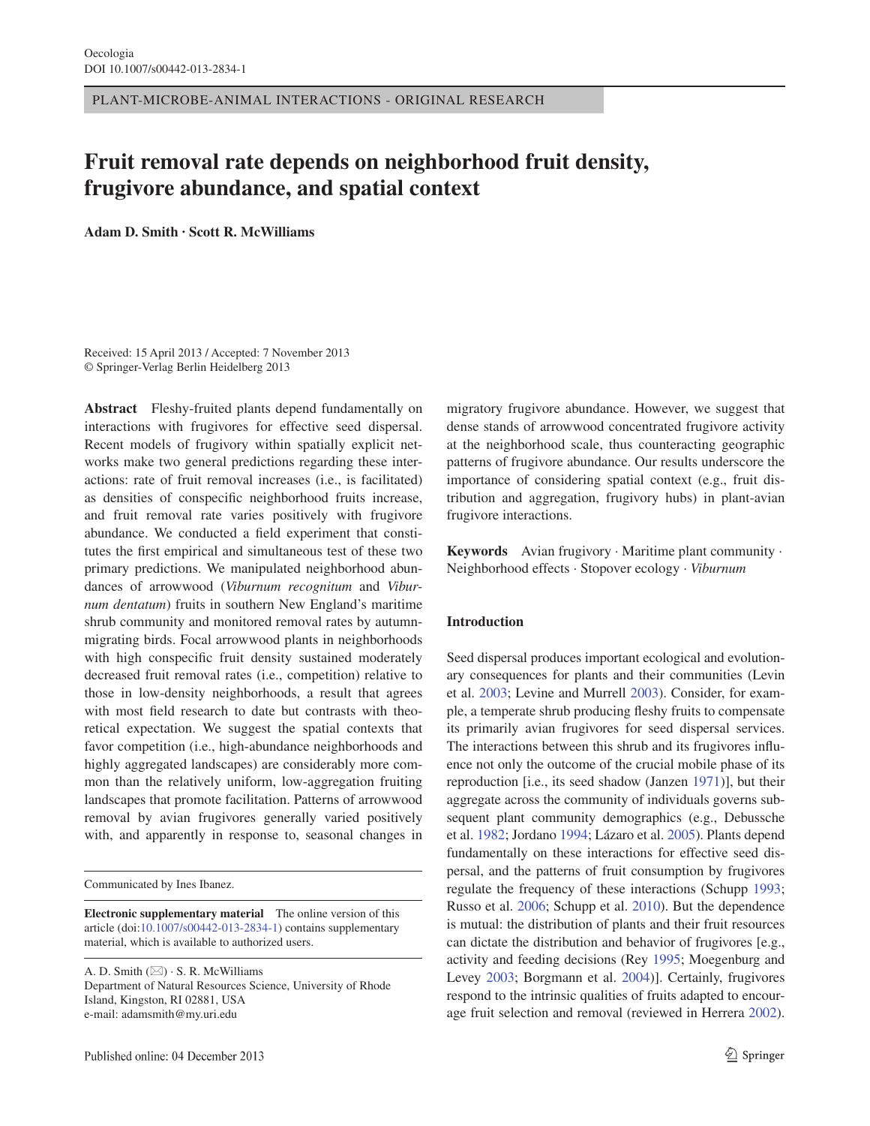PLANT-MICROBE-ANIMAL INTERACTIONS - ORIGINAL RESEARCH

# **Fruit removal rate depends on neighborhood fruit density, frugivore abundance, and spatial context**

**Adam D. Smith · Scott R. McWilliams** 

Received: 15 April 2013 / Accepted: 7 November 2013 © Springer-Verlag Berlin Heidelberg 2013

**Abstract** Fleshy-fruited plants depend fundamentally on interactions with frugivores for effective seed dispersal. Recent models of frugivory within spatially explicit networks make two general predictions regarding these interactions: rate of fruit removal increases (i.e., is facilitated) as densities of conspecific neighborhood fruits increase, and fruit removal rate varies positively with frugivore abundance. We conducted a field experiment that constitutes the first empirical and simultaneous test of these two primary predictions. We manipulated neighborhood abundances of arrowwood (*Viburnum recognitum* and *Viburnum dentatum*) fruits in southern New England's maritime shrub community and monitored removal rates by autumnmigrating birds. Focal arrowwood plants in neighborhoods with high conspecific fruit density sustained moderately decreased fruit removal rates (i.e., competition) relative to those in low-density neighborhoods, a result that agrees with most field research to date but contrasts with theoretical expectation. We suggest the spatial contexts that favor competition (i.e., high-abundance neighborhoods and highly aggregated landscapes) are considerably more common than the relatively uniform, low-aggregation fruiting landscapes that promote facilitation. Patterns of arrowwood removal by avian frugivores generally varied positively with, and apparently in response to, seasonal changes in

Communicated by Ines Ibanez.

**Electronic supplementary material** The online version of this article (doi:10.1007/s00442-013-2834-1) contains supplementary material, which is available to authorized users.

A. D. Smith  $(\boxtimes) \cdot$  S. R. McWilliams Department of Natural Resources Science, University of Rhode Island, Kingston, RI 02881, USA e-mail: adamsmith@my.uri.edu

migratory frugivore abundance. However, we suggest that dense stands of arrowwood concentrated frugivore activity at the neighborhood scale, thus counteracting geographic patterns of frugivore abundance. Our results underscore the importance of considering spatial context (e.g., fruit distribution and aggregation, frugivory hubs) in plant-avian frugivore interactions.

**Keywords** Avian frugivory · Maritime plant community · Neighborhood effects · Stopover ecology · *Viburnum*

## **Introduction**

Seed dispersal produces important ecological and evolutionary consequences for plants and their communities (Levin et al. 2003; Levine and Murrell 2003). Consider, for example, a temperate shrub producing fleshy fruits to compensate its primarily avian frugivores for seed dispersal services. The interactions between this shrub and its frugivores influence not only the outcome of the crucial mobile phase of its reproduction [i.e., its seed shadow (Janzen 1971)], but their aggregate across the community of individuals governs subsequent plant community demographics (e.g., Debussche et al. 1982; Jordano 1994; Lázaro et al. 2005). Plants depend fundamentally on these interactions for effective seed dispersal, and the patterns of fruit consumption by frugivores regulate the frequency of these interactions (Schupp 1993; Russo et al. 2006; Schupp et al. 2010). But the dependence is mutual: the distribution of plants and their fruit resources can dictate the distribution and behavior of frugivores [e.g., activity and feeding decisions (Rey 1995; Moegenburg and Levey 2003; Borgmann et al. 2004)]. Certainly, frugivores respond to the intrinsic qualities of fruits adapted to encourage fruit selection and removal (reviewed in Herrera 2002).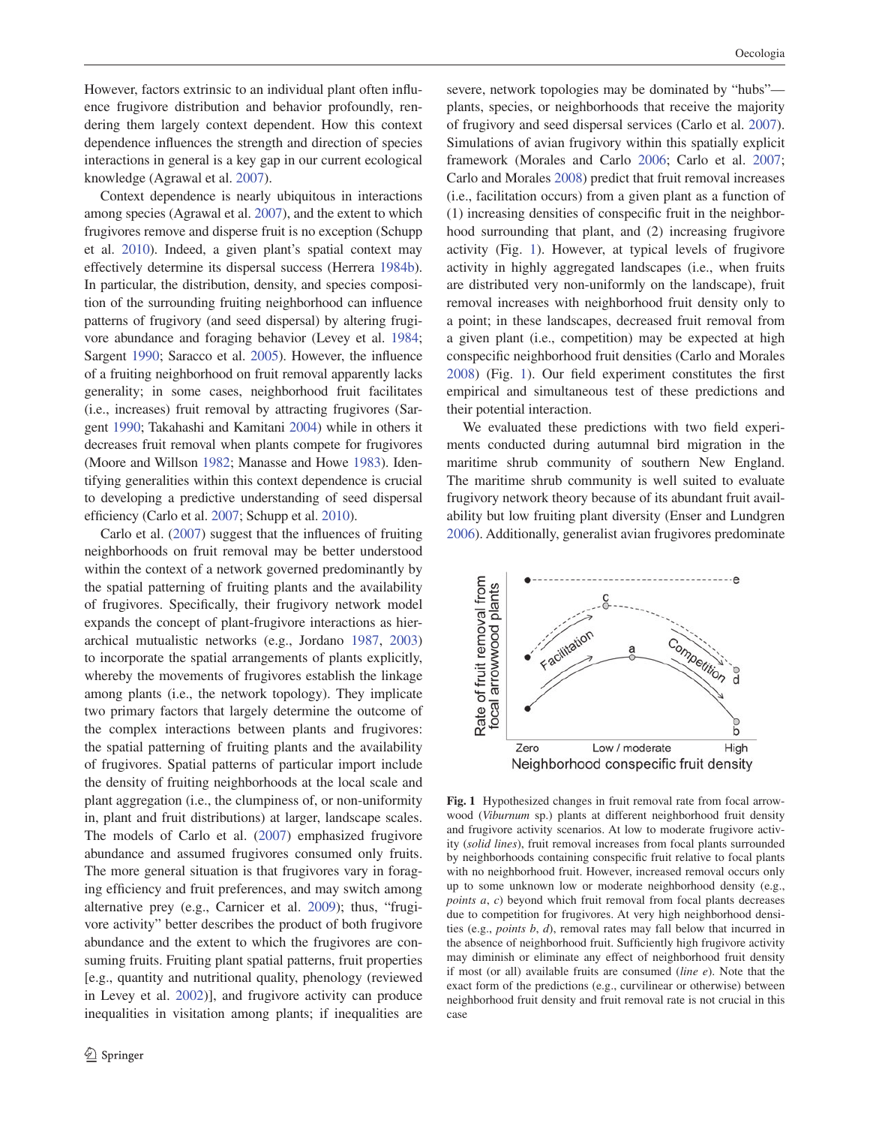However, factors extrinsic to an individual plant often influence frugivore distribution and behavior profoundly, rendering them largely context dependent. How this context dependence influences the strength and direction of species interactions in general is a key gap in our current ecological knowledge (Agrawal et al. 2007).

Context dependence is nearly ubiquitous in interactions among species (Agrawal et al. 2007), and the extent to which frugivores remove and disperse fruit is no exception (Schupp et al. 2010). Indeed, a given plant's spatial context may effectively determine its dispersal success (Herrera 1984b). In particular, the distribution, density, and species composition of the surrounding fruiting neighborhood can influence patterns of frugivory (and seed dispersal) by altering frugivore abundance and foraging behavior (Levey et al. 1984; Sargent 1990; Saracco et al. 2005). However, the influence of a fruiting neighborhood on fruit removal apparently lacks generality; in some cases, neighborhood fruit facilitates (i.e., increases) fruit removal by attracting frugivores (Sargent 1990; Takahashi and Kamitani 2004) while in others it decreases fruit removal when plants compete for frugivores (Moore and Willson 1982; Manasse and Howe 1983). Identifying generalities within this context dependence is crucial to developing a predictive understanding of seed dispersal efficiency (Carlo et al. 2007; Schupp et al. 2010).

Carlo et al. (2007) suggest that the influences of fruiting neighborhoods on fruit removal may be better understood within the context of a network governed predominantly by the spatial patterning of fruiting plants and the availability of frugivores. Specifically, their frugivory network model expands the concept of plant-frugivore interactions as hierarchical mutualistic networks (e.g., Jordano 1987, 2003) to incorporate the spatial arrangements of plants explicitly, whereby the movements of frugivores establish the linkage among plants (i.e., the network topology). They implicate two primary factors that largely determine the outcome of the complex interactions between plants and frugivores: the spatial patterning of fruiting plants and the availability of frugivores. Spatial patterns of particular import include the density of fruiting neighborhoods at the local scale and plant aggregation (i.e., the clumpiness of, or non-uniformity in, plant and fruit distributions) at larger, landscape scales. The models of Carlo et al. (2007) emphasized frugivore abundance and assumed frugivores consumed only fruits. The more general situation is that frugivores vary in foraging efficiency and fruit preferences, and may switch among alternative prey (e.g., Carnicer et al. 2009); thus, "frugivore activity" better describes the product of both frugivore abundance and the extent to which the frugivores are consuming fruits. Fruiting plant spatial patterns, fruit properties [e.g., quantity and nutritional quality, phenology (reviewed in Levey et al. 2002)], and frugivore activity can produce inequalities in visitation among plants; if inequalities are severe, network topologies may be dominated by "hubs" plants, species, or neighborhoods that receive the majority of frugivory and seed dispersal services (Carlo et al. 2007). Simulations of avian frugivory within this spatially explicit framework (Morales and Carlo 2006; Carlo et al. 2007; Carlo and Morales 2008) predict that fruit removal increases (i.e., facilitation occurs) from a given plant as a function of (1) increasing densities of conspecific fruit in the neighborhood surrounding that plant, and (2) increasing frugivore activity (Fig. 1). However, at typical levels of frugivore activity in highly aggregated landscapes (i.e., when fruits are distributed very non-uniformly on the landscape), fruit removal increases with neighborhood fruit density only to a point; in these landscapes, decreased fruit removal from a given plant (i.e., competition) may be expected at high conspecific neighborhood fruit densities (Carlo and Morales 2008) (Fig. 1). Our field experiment constitutes the first empirical and simultaneous test of these predictions and their potential interaction.

We evaluated these predictions with two field experiments conducted during autumnal bird migration in the maritime shrub community of southern New England. The maritime shrub community is well suited to evaluate frugivory network theory because of its abundant fruit availability but low fruiting plant diversity (Enser and Lundgren 2006). Additionally, generalist avian frugivores predominate



**Fig. 1** Hypothesized changes in fruit removal rate from focal arrowwood (*Viburnum* sp.) plants at different neighborhood fruit density and frugivore activity scenarios. At low to moderate frugivore activity (*solid lines*), fruit removal increases from focal plants surrounded by neighborhoods containing conspecific fruit relative to focal plants with no neighborhood fruit. However, increased removal occurs only up to some unknown low or moderate neighborhood density (e.g., *points a*, *c*) beyond which fruit removal from focal plants decreases due to competition for frugivores. At very high neighborhood densities (e.g., *points b*, *d*), removal rates may fall below that incurred in the absence of neighborhood fruit. Sufficiently high frugivore activity may diminish or eliminate any effect of neighborhood fruit density if most (or all) available fruits are consumed (*line e*). Note that the exact form of the predictions (e.g., curvilinear or otherwise) between neighborhood fruit density and fruit removal rate is not crucial in this case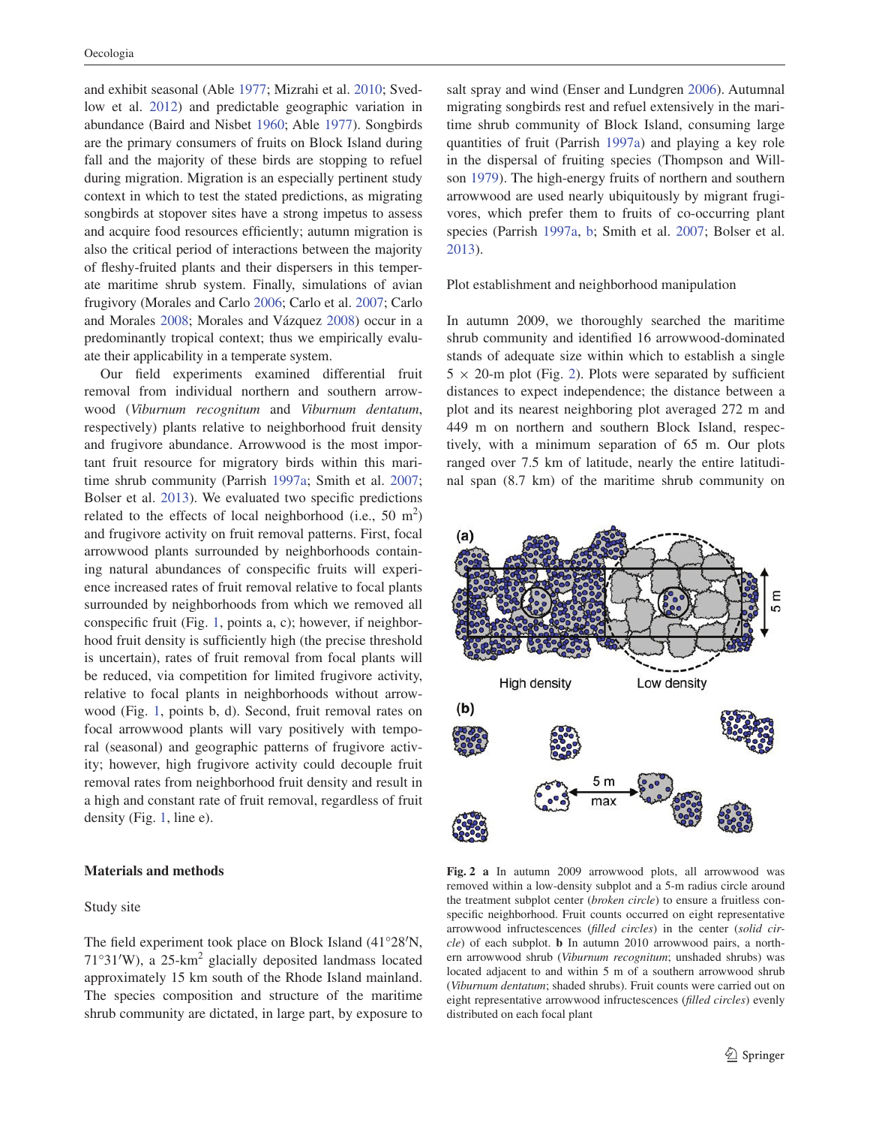and exhibit seasonal (Able 1977; Mizrahi et al. 2010; Svedlow et al. 2012) and predictable geographic variation in abundance (Baird and Nisbet 1960; Able 1977). Songbirds are the primary consumers of fruits on Block Island during fall and the majority of these birds are stopping to refuel during migration. Migration is an especially pertinent study context in which to test the stated predictions, as migrating songbirds at stopover sites have a strong impetus to assess and acquire food resources efficiently; autumn migration is also the critical period of interactions between the majority of fleshy-fruited plants and their dispersers in this temperate maritime shrub system. Finally, simulations of avian frugivory (Morales and Carlo 2006; Carlo et al. 2007; Carlo and Morales 2008; Morales and Vázquez 2008) occur in a predominantly tropical context; thus we empirically evaluate their applicability in a temperate system.

Our field experiments examined differential fruit removal from individual northern and southern arrowwood (*Viburnum recognitum* and *Viburnum dentatum*, respectively) plants relative to neighborhood fruit density and frugivore abundance. Arrowwood is the most important fruit resource for migratory birds within this maritime shrub community (Parrish 1997a; Smith et al. 2007; Bolser et al. 2013). We evaluated two specific predictions related to the effects of local neighborhood (i.e.,  $50 \text{ m}^2$ ) and frugivore activity on fruit removal patterns. First, focal arrowwood plants surrounded by neighborhoods containing natural abundances of conspecific fruits will experience increased rates of fruit removal relative to focal plants surrounded by neighborhoods from which we removed all conspecific fruit (Fig. 1, points a, c); however, if neighborhood fruit density is sufficiently high (the precise threshold is uncertain), rates of fruit removal from focal plants will be reduced, via competition for limited frugivore activity, relative to focal plants in neighborhoods without arrowwood (Fig. 1, points b, d). Second, fruit removal rates on focal arrowwood plants will vary positively with temporal (seasonal) and geographic patterns of frugivore activity; however, high frugivore activity could decouple fruit removal rates from neighborhood fruit density and result in a high and constant rate of fruit removal, regardless of fruit density (Fig. 1, line e).

## **Materials and methods**

## Study site

The field experiment took place on Block Island (41°28′N,  $71^{\circ}31'W$ ), a  $25$ -km<sup>2</sup> glacially deposited landmass located approximately 15 km south of the Rhode Island mainland. The species composition and structure of the maritime shrub community are dictated, in large part, by exposure to

salt spray and wind (Enser and Lundgren 2006). Autumnal migrating songbirds rest and refuel extensively in the maritime shrub community of Block Island, consuming large quantities of fruit (Parrish 1997a) and playing a key role in the dispersal of fruiting species (Thompson and Willson 1979). The high-energy fruits of northern and southern arrowwood are used nearly ubiquitously by migrant frugivores, which prefer them to fruits of co-occurring plant species (Parrish 1997a, b; Smith et al. 2007; Bolser et al. 2013).

#### Plot establishment and neighborhood manipulation

In autumn 2009, we thoroughly searched the maritime shrub community and identified 16 arrowwood-dominated stands of adequate size within which to establish a single  $5 \times 20$ -m plot (Fig. 2). Plots were separated by sufficient distances to expect independence; the distance between a plot and its nearest neighboring plot averaged 272 m and 449 m on northern and southern Block Island, respectively, with a minimum separation of 65 m. Our plots ranged over 7.5 km of latitude, nearly the entire latitudinal span (8.7 km) of the maritime shrub community on



**Fig. 2 a** In autumn 2009 arrowwood plots, all arrowwood was removed within a low-density subplot and a 5-m radius circle around the treatment subplot center (*broken circle*) to ensure a fruitless conspecific neighborhood. Fruit counts occurred on eight representative arrowwood infructescences (*filled circles*) in the center (*solid circle*) of each subplot. **b** In autumn 2010 arrowwood pairs, a northern arrowwood shrub (*Viburnum recognitum*; unshaded shrubs) was located adjacent to and within 5 m of a southern arrowwood shrub (*Viburnum dentatum*; shaded shrubs). Fruit counts were carried out on eight representative arrowwood infructescences (*filled circles*) evenly distributed on each focal plant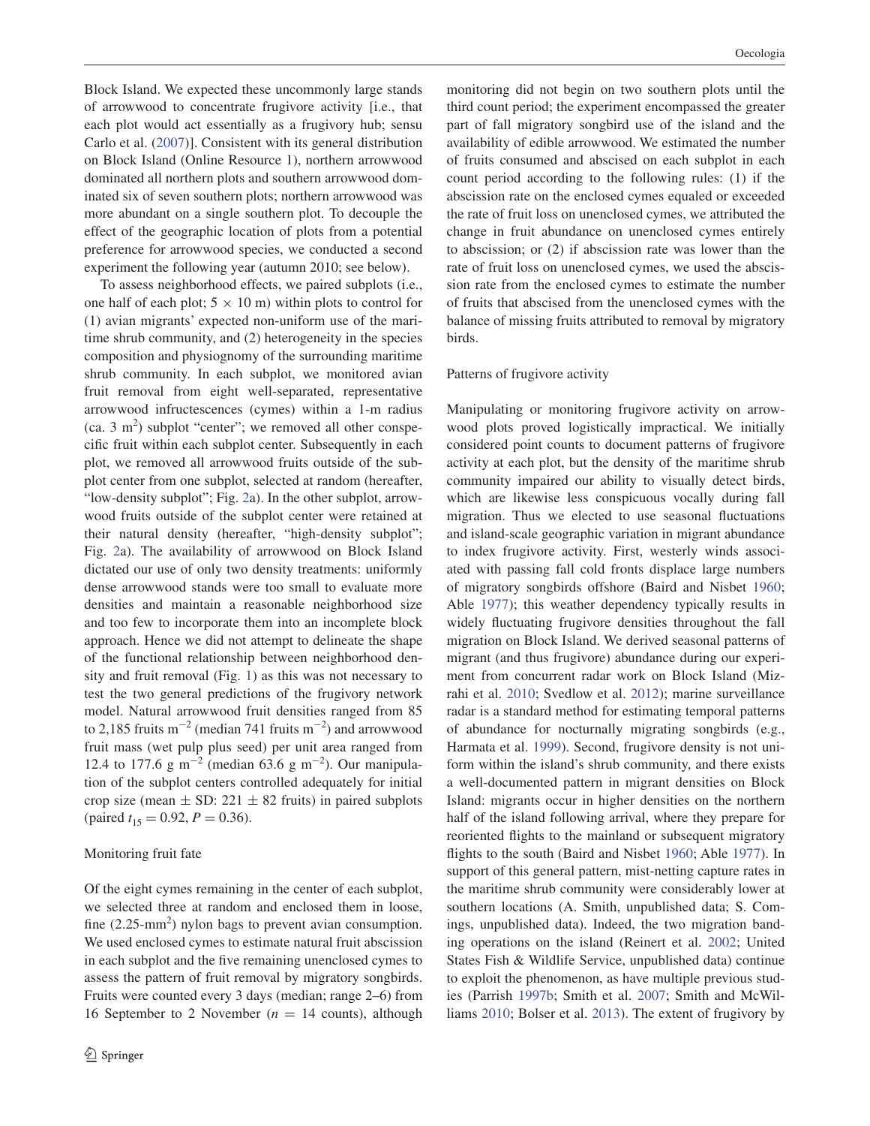Block Island. We expected these uncommonly large stands of arrowwood to concentrate frugivore activity [i.e., that each plot would act essentially as a frugivory hub; sensu Carlo et al. (2007)]. Consistent with its general distribution on Block Island (Online Resource 1), northern arrowwood dominated all northern plots and southern arrowwood dominated six of seven southern plots; northern arrowwood was more abundant on a single southern plot. To decouple the effect of the geographic location of plots from a potential preference for arrowwood species, we conducted a second experiment the following year (autumn 2010; see below).

To assess neighborhood effects, we paired subplots (i.e., one half of each plot;  $5 \times 10$  m) within plots to control for (1) avian migrants' expected non-uniform use of the maritime shrub community, and (2) heterogeneity in the species composition and physiognomy of the surrounding maritime shrub community. In each subplot, we monitored avian fruit removal from eight well-separated, representative arrowwood infructescences (cymes) within a 1-m radius (ca. 3  $m<sup>2</sup>$ ) subplot "center"; we removed all other conspecific fruit within each subplot center. Subsequently in each plot, we removed all arrowwood fruits outside of the subplot center from one subplot, selected at random (hereafter, "low-density subplot"; Fig. 2a). In the other subplot, arrowwood fruits outside of the subplot center were retained at their natural density (hereafter, "high-density subplot"; Fig. 2a). The availability of arrowwood on Block Island dictated our use of only two density treatments: uniformly dense arrowwood stands were too small to evaluate more densities and maintain a reasonable neighborhood size and too few to incorporate them into an incomplete block approach. Hence we did not attempt to delineate the shape of the functional relationship between neighborhood density and fruit removal (Fig. 1) as this was not necessary to test the two general predictions of the frugivory network model. Natural arrowwood fruit densities ranged from 85 to 2,185 fruits  $m^{-2}$  (median 741 fruits  $m^{-2}$ ) and arrowwood fruit mass (wet pulp plus seed) per unit area ranged from 12.4 to 177.6 g m<sup>-2</sup> (median 63.6 g m<sup>-2</sup>). Our manipulation of the subplot centers controlled adequately for initial crop size (mean  $\pm$  SD: 221  $\pm$  82 fruits) in paired subplots (paired  $t_{15} = 0.92, P = 0.36$ ).

## Monitoring fruit fate

Of the eight cymes remaining in the center of each subplot, we selected three at random and enclosed them in loose, fine  $(2.25 \text{--} \text{mm}^2)$  nylon bags to prevent avian consumption. We used enclosed cymes to estimate natural fruit abscission in each subplot and the five remaining unenclosed cymes to assess the pattern of fruit removal by migratory songbirds. Fruits were counted every 3 days (median; range 2–6) from 16 September to 2 November ( $n = 14$  counts), although

monitoring did not begin on two southern plots until the third count period; the experiment encompassed the greater part of fall migratory songbird use of the island and the availability of edible arrowwood. We estimated the number of fruits consumed and abscised on each subplot in each count period according to the following rules: (1) if the abscission rate on the enclosed cymes equaled or exceeded the rate of fruit loss on unenclosed cymes, we attributed the change in fruit abundance on unenclosed cymes entirely to abscission; or (2) if abscission rate was lower than the rate of fruit loss on unenclosed cymes, we used the abscission rate from the enclosed cymes to estimate the number of fruits that abscised from the unenclosed cymes with the balance of missing fruits attributed to removal by migratory birds.

#### Patterns of frugivore activity

Manipulating or monitoring frugivore activity on arrowwood plots proved logistically impractical. We initially considered point counts to document patterns of frugivore activity at each plot, but the density of the maritime shrub community impaired our ability to visually detect birds, which are likewise less conspicuous vocally during fall migration. Thus we elected to use seasonal fluctuations and island-scale geographic variation in migrant abundance to index frugivore activity. First, westerly winds associated with passing fall cold fronts displace large numbers of migratory songbirds offshore (Baird and Nisbet 1960; Able 1977); this weather dependency typically results in widely fluctuating frugivore densities throughout the fall migration on Block Island. We derived seasonal patterns of migrant (and thus frugivore) abundance during our experiment from concurrent radar work on Block Island (Mizrahi et al. 2010; Svedlow et al. 2012); marine surveillance radar is a standard method for estimating temporal patterns of abundance for nocturnally migrating songbirds (e.g., Harmata et al. 1999). Second, frugivore density is not uniform within the island's shrub community, and there exists a well-documented pattern in migrant densities on Block Island: migrants occur in higher densities on the northern half of the island following arrival, where they prepare for reoriented flights to the mainland or subsequent migratory flights to the south (Baird and Nisbet 1960; Able 1977). In support of this general pattern, mist-netting capture rates in the maritime shrub community were considerably lower at southern locations (A. Smith, unpublished data; S. Comings, unpublished data). Indeed, the two migration banding operations on the island (Reinert et al. 2002; United States Fish & Wildlife Service, unpublished data) continue to exploit the phenomenon, as have multiple previous studies (Parrish 1997b; Smith et al. 2007; Smith and McWilliams 2010; Bolser et al. 2013). The extent of frugivory by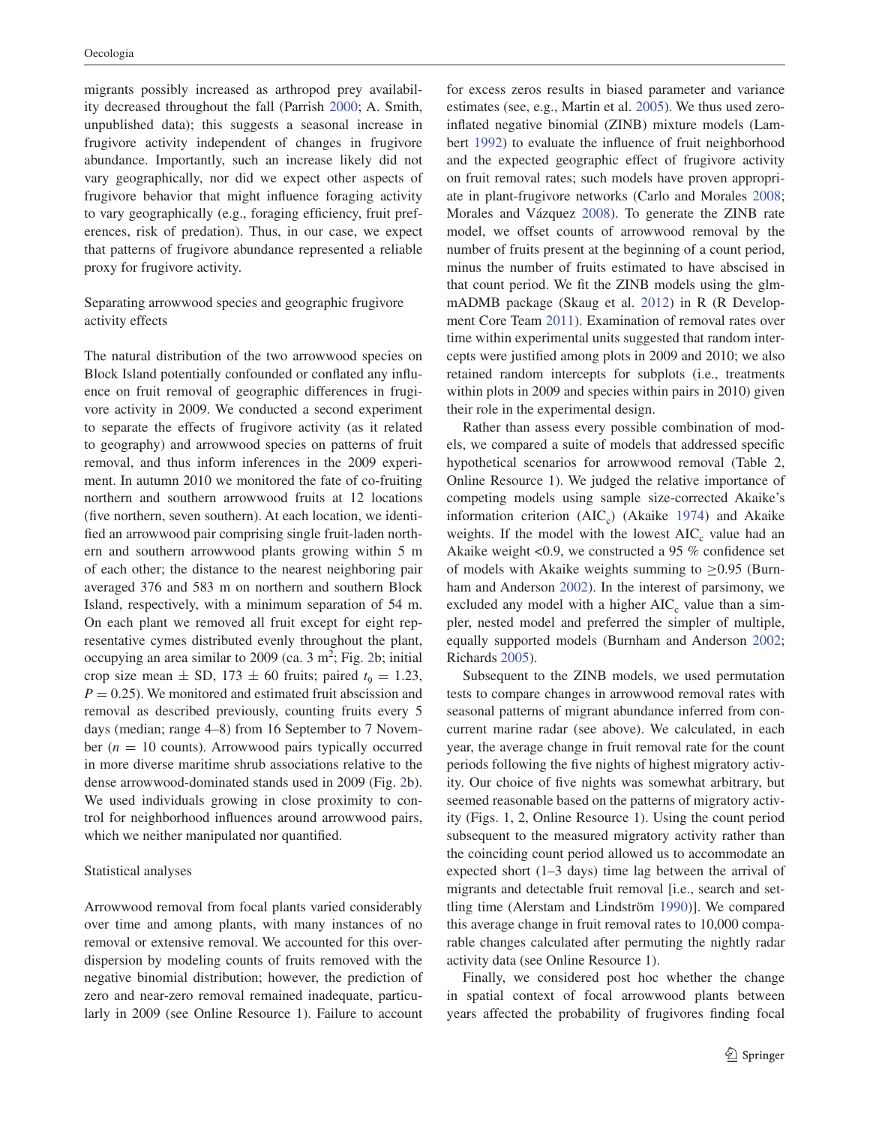migrants possibly increased as arthropod prey availability decreased throughout the fall (Parrish 2000; A. Smith, unpublished data); this suggests a seasonal increase in frugivore activity independent of changes in frugivore abundance. Importantly, such an increase likely did not vary geographically, nor did we expect other aspects of frugivore behavior that might influence foraging activity to vary geographically (e.g., foraging efficiency, fruit preferences, risk of predation). Thus, in our case, we expect that patterns of frugivore abundance represented a reliable proxy for frugivore activity.

## Separating arrowwood species and geographic frugivore activity effects

The natural distribution of the two arrowwood species on Block Island potentially confounded or conflated any influence on fruit removal of geographic differences in frugivore activity in 2009. We conducted a second experiment to separate the effects of frugivore activity (as it related to geography) and arrowwood species on patterns of fruit removal, and thus inform inferences in the 2009 experiment. In autumn 2010 we monitored the fate of co-fruiting northern and southern arrowwood fruits at 12 locations (five northern, seven southern). At each location, we identified an arrowwood pair comprising single fruit-laden northern and southern arrowwood plants growing within 5 m of each other; the distance to the nearest neighboring pair averaged 376 and 583 m on northern and southern Block Island, respectively, with a minimum separation of 54 m. On each plant we removed all fruit except for eight representative cymes distributed evenly throughout the plant, occupying an area similar to 2009 (ca.  $3 \text{ m}^2$ ; Fig. 2b; initial crop size mean  $\pm$  SD, 173  $\pm$  60 fruits; paired  $t_9 = 1.23$ ,  $P = 0.25$ . We monitored and estimated fruit abscission and removal as described previously, counting fruits every 5 days (median; range 4–8) from 16 September to 7 November  $(n = 10 \text{ counts})$ . Arrowwood pairs typically occurred in more diverse maritime shrub associations relative to the dense arrowwood-dominated stands used in 2009 (Fig. 2b). We used individuals growing in close proximity to control for neighborhood influences around arrowwood pairs, which we neither manipulated nor quantified.

#### Statistical analyses

Arrowwood removal from focal plants varied considerably over time and among plants, with many instances of no removal or extensive removal. We accounted for this overdispersion by modeling counts of fruits removed with the negative binomial distribution; however, the prediction of zero and near-zero removal remained inadequate, particularly in 2009 (see Online Resource 1). Failure to account

for excess zeros results in biased parameter and variance estimates (see, e.g., Martin et al. 2005). We thus used zeroinflated negative binomial (ZINB) mixture models (Lambert 1992) to evaluate the influence of fruit neighborhood and the expected geographic effect of frugivore activity on fruit removal rates; such models have proven appropriate in plant-frugivore networks (Carlo and Morales 2008; Morales and Vázquez 2008). To generate the ZINB rate model, we offset counts of arrowwood removal by the number of fruits present at the beginning of a count period, minus the number of fruits estimated to have abscised in that count period. We fit the ZINB models using the glmmADMB package (Skaug et al. 2012) in R (R Development Core Team 2011). Examination of removal rates over time within experimental units suggested that random intercepts were justified among plots in 2009 and 2010; we also retained random intercepts for subplots (i.e., treatments within plots in 2009 and species within pairs in 2010) given their role in the experimental design.

Rather than assess every possible combination of models, we compared a suite of models that addressed specific hypothetical scenarios for arrowwood removal (Table 2, Online Resource 1). We judged the relative importance of competing models using sample size-corrected Akaike's information criterion  $(AIC_c)$  (Akaike 1974) and Akaike weights. If the model with the lowest  $AIC_c$  value had an Akaike weight <0.9, we constructed a 95 % confidence set of models with Akaike weights summing to  $\geq 0.95$  (Burnham and Anderson 2002). In the interest of parsimony, we excluded any model with a higher  $AIC_c$  value than a simpler, nested model and preferred the simpler of multiple, equally supported models (Burnham and Anderson 2002; Richards 2005).

Subsequent to the ZINB models, we used permutation tests to compare changes in arrowwood removal rates with seasonal patterns of migrant abundance inferred from concurrent marine radar (see above). We calculated, in each year, the average change in fruit removal rate for the count periods following the five nights of highest migratory activity. Our choice of five nights was somewhat arbitrary, but seemed reasonable based on the patterns of migratory activity (Figs. 1, 2, Online Resource 1). Using the count period subsequent to the measured migratory activity rather than the coinciding count period allowed us to accommodate an expected short (1–3 days) time lag between the arrival of migrants and detectable fruit removal [i.e., search and settling time (Alerstam and Lindström 1990)]. We compared this average change in fruit removal rates to 10,000 comparable changes calculated after permuting the nightly radar activity data (see Online Resource 1).

Finally, we considered post hoc whether the change in spatial context of focal arrowwood plants between years affected the probability of frugivores finding focal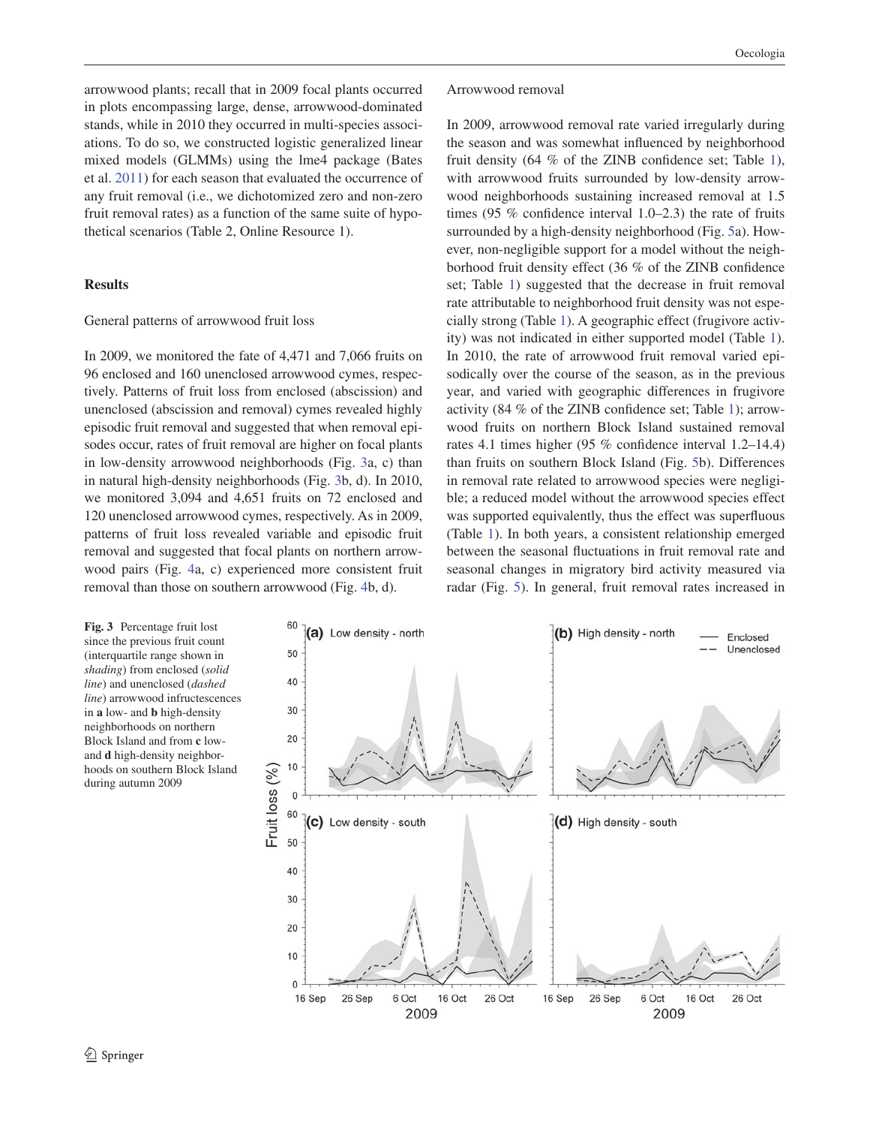arrowwood plants; recall that in 2009 focal plants occurred in plots encompassing large, dense, arrowwood-dominated stands, while in 2010 they occurred in multi-species associations. To do so, we constructed logistic generalized linear mixed models (GLMMs) using the lme4 package (Bates et al. 2011) for each season that evaluated the occurrence of any fruit removal (i.e., we dichotomized zero and non-zero fruit removal rates) as a function of the same suite of hypothetical scenarios (Table 2, Online Resource 1).

## **Results**

#### General patterns of arrowwood fruit loss

In 2009, we monitored the fate of 4,471 and 7,066 fruits on 96 enclosed and 160 unenclosed arrowwood cymes, respectively. Patterns of fruit loss from enclosed (abscission) and unenclosed (abscission and removal) cymes revealed highly episodic fruit removal and suggested that when removal episodes occur, rates of fruit removal are higher on focal plants in low-density arrowwood neighborhoods (Fig. 3a, c) than in natural high-density neighborhoods (Fig. 3b, d). In 2010, we monitored 3,094 and 4,651 fruits on 72 enclosed and 120 unenclosed arrowwood cymes, respectively. As in 2009, patterns of fruit loss revealed variable and episodic fruit removal and suggested that focal plants on northern arrowwood pairs (Fig. 4a, c) experienced more consistent fruit removal than those on southern arrowwood (Fig. 4b, d).

#### Arrowwood removal

In 2009, arrowwood removal rate varied irregularly during the season and was somewhat influenced by neighborhood fruit density (64 % of the ZINB confidence set; Table 1), with arrowwood fruits surrounded by low-density arrowwood neighborhoods sustaining increased removal at 1.5 times (95 % confidence interval 1.0–2.3) the rate of fruits surrounded by a high-density neighborhood (Fig. 5a). However, non-negligible support for a model without the neighborhood fruit density effect (36 % of the ZINB confidence set; Table 1) suggested that the decrease in fruit removal rate attributable to neighborhood fruit density was not especially strong (Table 1). A geographic effect (frugivore activity) was not indicated in either supported model (Table 1). In 2010, the rate of arrowwood fruit removal varied episodically over the course of the season, as in the previous year, and varied with geographic differences in frugivore activity (84 % of the ZINB confidence set; Table 1); arrowwood fruits on northern Block Island sustained removal rates 4.1 times higher (95 % confidence interval 1.2–14.4) than fruits on southern Block Island (Fig. 5b). Differences in removal rate related to arrowwood species were negligible; a reduced model without the arrowwood species effect was supported equivalently, thus the effect was superfluous (Table 1). In both years, a consistent relationship emerged between the seasonal fluctuations in fruit removal rate and seasonal changes in migratory bird activity measured via radar (Fig. 5). In general, fruit removal rates increased in

**Fig. 3** Percentage fruit lost since the previous fruit count (interquartile range shown in *shading*) from enclosed (*solid line*) and unenclosed (*dashed line*) arrowwood infructescences in **a** low- and **b** high-density neighborhoods on northern Block Island and from **c** lowand **d** high-density neighborhoods on southern Block Island during autumn 2009

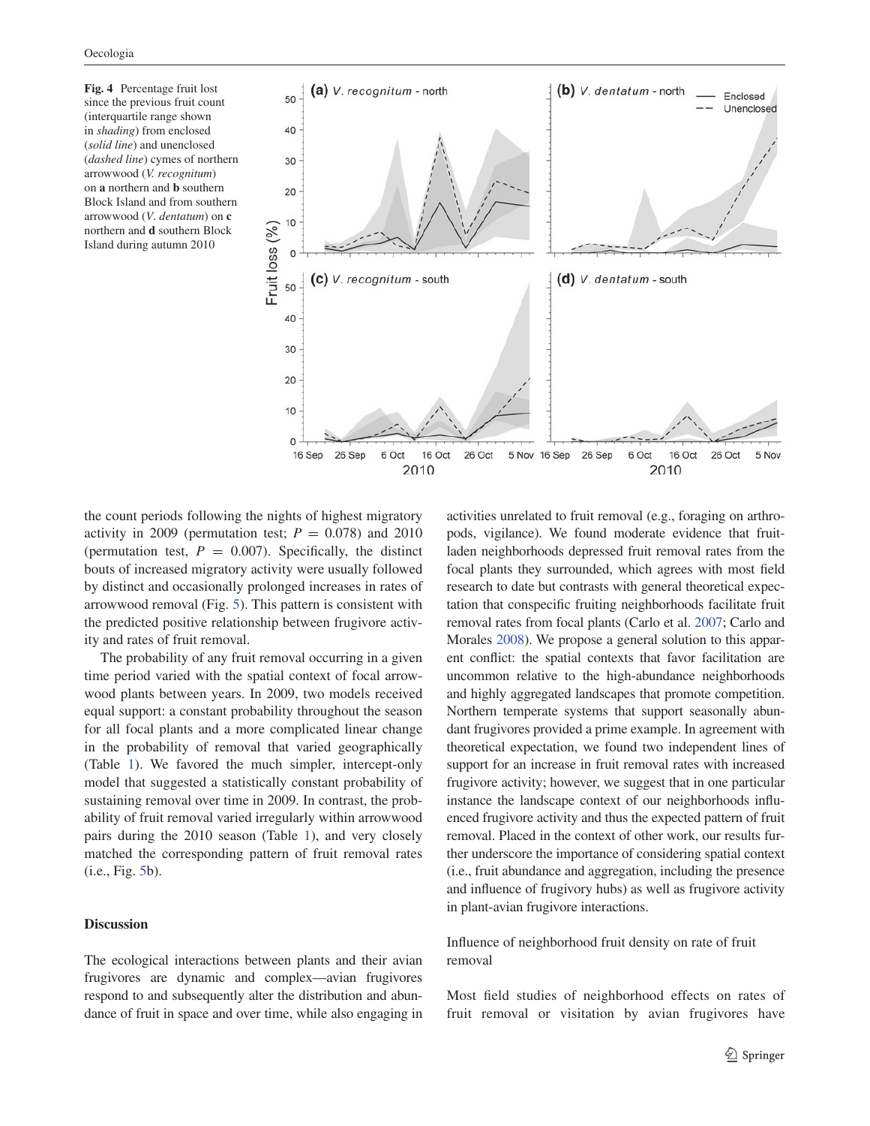**Fig. 4** Percentage fruit lost since the previous fruit count (interquartile range shown in *shading*) from enclosed (*solid line*) and unenclosed (*dashed line*) cymes of northern arrowwood (*V. recognitum*) on **a** northern and **b** southern Block Island and from southern arrowwood (*V*. *dentatum*) on **c** northern and **d** southern Block Island during autumn 2010



the count periods following the nights of highest migratory activity in 2009 (permutation test;  $P = 0.078$ ) and 2010 (permutation test,  $P = 0.007$ ). Specifically, the distinct bouts of increased migratory activity were usually followed by distinct and occasionally prolonged increases in rates of arrowwood removal (Fig. 5). This pattern is consistent with the predicted positive relationship between frugivore activity and rates of fruit removal.

The probability of any fruit removal occurring in a given time period varied with the spatial context of focal arrowwood plants between years. In 2009, two models received equal support: a constant probability throughout the season for all focal plants and a more complicated linear change in the probability of removal that varied geographically (Table 1). We favored the much simpler, intercept-only model that suggested a statistically constant probability of sustaining removal over time in 2009. In contrast, the probability of fruit removal varied irregularly within arrowwood pairs during the 2010 season (Table 1), and very closely matched the corresponding pattern of fruit removal rates (i.e., Fig. 5b).

## **Discussion**

The ecological interactions between plants and their avian frugivores are dynamic and complex—avian frugivores respond to and subsequently alter the distribution and abundance of fruit in space and over time, while also engaging in

activities unrelated to fruit removal (e.g., foraging on arthropods, vigilance). We found moderate evidence that fruitladen neighborhoods depressed fruit removal rates from the focal plants they surrounded, which agrees with most field research to date but contrasts with general theoretical expectation that conspecific fruiting neighborhoods facilitate fruit removal rates from focal plants (Carlo et al. 2007; Carlo and Morales 2008). We propose a general solution to this apparent conflict: the spatial contexts that favor facilitation are uncommon relative to the high-abundance neighborhoods and highly aggregated landscapes that promote competition. Northern temperate systems that support seasonally abundant frugivores provided a prime example. In agreement with theoretical expectation, we found two independent lines of support for an increase in fruit removal rates with increased frugivore activity; however, we suggest that in one particular instance the landscape context of our neighborhoods influenced frugivore activity and thus the expected pattern of fruit removal. Placed in the context of other work, our results further underscore the importance of considering spatial context (i.e., fruit abundance and aggregation, including the presence and influence of frugivory hubs) as well as frugivore activity in plant-avian frugivore interactions.

Influence of neighborhood fruit density on rate of fruit removal

Most field studies of neighborhood effects on rates of fruit removal or visitation by avian frugivores have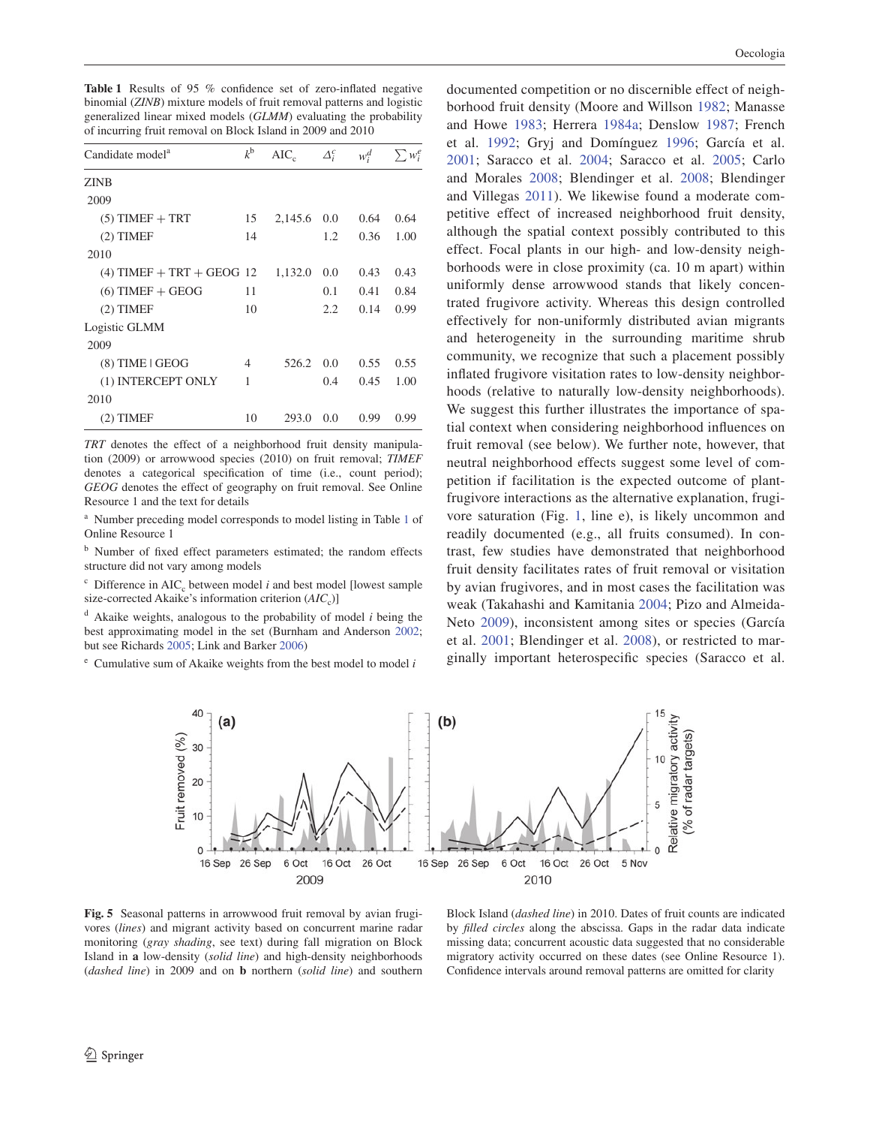**Table 1** Results of 95 % confidence set of zero-inflated negative binomial (*ZINB*) mixture models of fruit removal patterns and logistic generalized linear mixed models (*GLMM*) evaluating the probability of incurring fruit removal on Block Island in 2009 and 2010

| Candidate model <sup>a</sup> | $k^{\rm b}$ | $AIC_c$ | $\Delta_i^c$ | $w_i^d$ | $\sum w_i^e$ |
|------------------------------|-------------|---------|--------------|---------|--------------|
| <b>ZINB</b>                  |             |         |              |         |              |
| 2009                         |             |         |              |         |              |
| $(5)$ TIMEF $+$ TRT          | 15          | 2,145.6 | 0.0          | 0.64    | 0.64         |
| $(2)$ TIMEF                  | 14          |         | 1.2          | 0.36    | 1.00         |
| 2010                         |             |         |              |         |              |
| $(4)$ TIMEF + TRT + GEOG 12  |             | 1,132.0 | 0.0          | 0.43    | 0.43         |
| $(6)$ TIMEF + GEOG           | 11          |         | 0.1          | 0.41    | 0.84         |
| $(2)$ TIMEF                  | 10          |         | 2.2          | 0.14    | 0.99         |
| Logistic GLMM                |             |         |              |         |              |
| 2009                         |             |         |              |         |              |
| $(8)$ TIME $\mid$ GEOG       | 4           | 526.2   | 0.0          | 0.55    | 0.55         |
| (1) INTERCEPT ONLY           | 1           |         | 0.4          | 0.45    | 1.00         |
| 2010                         |             |         |              |         |              |
| $(2)$ TIMEF                  | 10          | 293.0   | 0.0          | 0.99    | 0.99         |

*TRT* denotes the effect of a neighborhood fruit density manipulation (2009) or arrowwood species (2010) on fruit removal; *TIMEF* denotes a categorical specification of time (i.e., count period); *GEOG* denotes the effect of geography on fruit removal. See Online Resource 1 and the text for details

<sup>a</sup> Number preceding model corresponds to model listing in Table 1 of Online Resource 1

<sup>b</sup> Number of fixed effect parameters estimated; the random effects structure did not vary among models

 $\epsilon$  Difference in AIC<sub>c</sub> between model *i* and best model [lowest sample size-corrected Akaike's information criterion (*AIC*<sub>c</sub>)]

d Akaike weights, analogous to the probability of model *i* being the best approximating model in the set (Burnham and Anderson 2002; but see Richards 2005; Link and Barker 2006)

e Cumulative sum of Akaike weights from the best model to model *i*

documented competition or no discernible effect of neighborhood fruit density (Moore and Willson 1982; Manasse and Howe 1983; Herrera 1984a; Denslow 1987; French et al. 1992; Gryj and Domínguez 1996; García et al. 2001; Saracco et al. 2004; Saracco et al. 2005; Carlo and Morales 2008; Blendinger et al. 2008; Blendinger and Villegas 2011). We likewise found a moderate competitive effect of increased neighborhood fruit density, although the spatial context possibly contributed to this effect. Focal plants in our high- and low-density neighborhoods were in close proximity (ca. 10 m apart) within uniformly dense arrowwood stands that likely concentrated frugivore activity. Whereas this design controlled effectively for non-uniformly distributed avian migrants and heterogeneity in the surrounding maritime shrub community, we recognize that such a placement possibly inflated frugivore visitation rates to low-density neighborhoods (relative to naturally low-density neighborhoods). We suggest this further illustrates the importance of spatial context when considering neighborhood influences on fruit removal (see below). We further note, however, that neutral neighborhood effects suggest some level of competition if facilitation is the expected outcome of plantfrugivore interactions as the alternative explanation, frugivore saturation (Fig. 1, line e), is likely uncommon and readily documented (e.g., all fruits consumed). In contrast, few studies have demonstrated that neighborhood fruit density facilitates rates of fruit removal or visitation by avian frugivores, and in most cases the facilitation was weak (Takahashi and Kamitania 2004; Pizo and Almeida-Neto 2009), inconsistent among sites or species (García et al. 2001; Blendinger et al. 2008), or restricted to marginally important heterospecific species (Saracco et al.



**Fig. 5** Seasonal patterns in arrowwood fruit removal by avian frugivores (*lines*) and migrant activity based on concurrent marine radar monitoring (*gray shading*, see text) during fall migration on Block Island in **a** low-density (*solid line*) and high-density neighborhoods (*dashed line*) in 2009 and on **b** northern (*solid line*) and southern

Block Island (*dashed line*) in 2010. Dates of fruit counts are indicated by *filled circles* along the abscissa. Gaps in the radar data indicate missing data; concurrent acoustic data suggested that no considerable migratory activity occurred on these dates (see Online Resource 1). Confidence intervals around removal patterns are omitted for clarity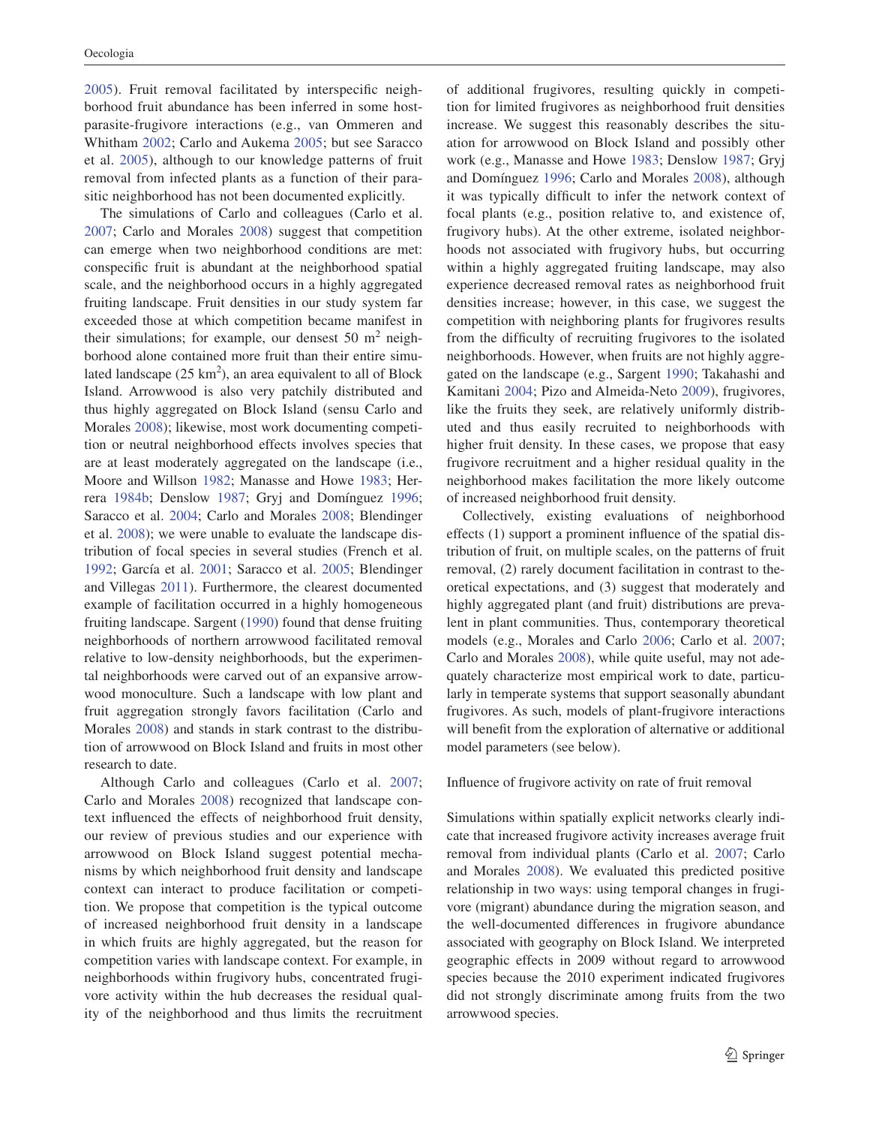2005). Fruit removal facilitated by interspecific neighborhood fruit abundance has been inferred in some hostparasite-frugivore interactions (e.g., van Ommeren and Whitham 2002; Carlo and Aukema 2005; but see Saracco et al. 2005), although to our knowledge patterns of fruit removal from infected plants as a function of their parasitic neighborhood has not been documented explicitly.

The simulations of Carlo and colleagues (Carlo et al. 2007; Carlo and Morales 2008) suggest that competition can emerge when two neighborhood conditions are met: conspecific fruit is abundant at the neighborhood spatial scale, and the neighborhood occurs in a highly aggregated fruiting landscape. Fruit densities in our study system far exceeded those at which competition became manifest in their simulations; for example, our densest 50  $m<sup>2</sup>$  neighborhood alone contained more fruit than their entire simulated landscape  $(25 \text{ km}^2)$ , an area equivalent to all of Block Island. Arrowwood is also very patchily distributed and thus highly aggregated on Block Island (sensu Carlo and Morales 2008); likewise, most work documenting competition or neutral neighborhood effects involves species that are at least moderately aggregated on the landscape (i.e., Moore and Willson 1982; Manasse and Howe 1983; Herrera 1984b; Denslow 1987; Gryj and Domínguez 1996; Saracco et al. 2004; Carlo and Morales 2008; Blendinger et al. 2008); we were unable to evaluate the landscape distribution of focal species in several studies (French et al. 1992; García et al. 2001; Saracco et al. 2005; Blendinger and Villegas 2011). Furthermore, the clearest documented example of facilitation occurred in a highly homogeneous fruiting landscape. Sargent (1990) found that dense fruiting neighborhoods of northern arrowwood facilitated removal relative to low-density neighborhoods, but the experimental neighborhoods were carved out of an expansive arrowwood monoculture. Such a landscape with low plant and fruit aggregation strongly favors facilitation (Carlo and Morales 2008) and stands in stark contrast to the distribution of arrowwood on Block Island and fruits in most other research to date.

Although Carlo and colleagues (Carlo et al. 2007; Carlo and Morales 2008) recognized that landscape context influenced the effects of neighborhood fruit density, our review of previous studies and our experience with arrowwood on Block Island suggest potential mechanisms by which neighborhood fruit density and landscape context can interact to produce facilitation or competition. We propose that competition is the typical outcome of increased neighborhood fruit density in a landscape in which fruits are highly aggregated, but the reason for competition varies with landscape context. For example, in neighborhoods within frugivory hubs, concentrated frugivore activity within the hub decreases the residual quality of the neighborhood and thus limits the recruitment of additional frugivores, resulting quickly in competition for limited frugivores as neighborhood fruit densities increase. We suggest this reasonably describes the situation for arrowwood on Block Island and possibly other work (e.g., Manasse and Howe 1983; Denslow 1987; Gryj and Domínguez 1996; Carlo and Morales 2008), although it was typically difficult to infer the network context of focal plants (e.g., position relative to, and existence of, frugivory hubs). At the other extreme, isolated neighborhoods not associated with frugivory hubs, but occurring within a highly aggregated fruiting landscape, may also experience decreased removal rates as neighborhood fruit densities increase; however, in this case, we suggest the competition with neighboring plants for frugivores results from the difficulty of recruiting frugivores to the isolated neighborhoods. However, when fruits are not highly aggregated on the landscape (e.g., Sargent 1990; Takahashi and Kamitani 2004; Pizo and Almeida-Neto 2009), frugivores, like the fruits they seek, are relatively uniformly distributed and thus easily recruited to neighborhoods with higher fruit density. In these cases, we propose that easy frugivore recruitment and a higher residual quality in the neighborhood makes facilitation the more likely outcome of increased neighborhood fruit density.

Collectively, existing evaluations of neighborhood effects (1) support a prominent influence of the spatial distribution of fruit, on multiple scales, on the patterns of fruit removal, (2) rarely document facilitation in contrast to theoretical expectations, and (3) suggest that moderately and highly aggregated plant (and fruit) distributions are prevalent in plant communities. Thus, contemporary theoretical models (e.g., Morales and Carlo 2006; Carlo et al. 2007; Carlo and Morales 2008), while quite useful, may not adequately characterize most empirical work to date, particularly in temperate systems that support seasonally abundant frugivores. As such, models of plant-frugivore interactions will benefit from the exploration of alternative or additional model parameters (see below).

Influence of frugivore activity on rate of fruit removal

Simulations within spatially explicit networks clearly indicate that increased frugivore activity increases average fruit removal from individual plants (Carlo et al. 2007; Carlo and Morales 2008). We evaluated this predicted positive relationship in two ways: using temporal changes in frugivore (migrant) abundance during the migration season, and the well-documented differences in frugivore abundance associated with geography on Block Island. We interpreted geographic effects in 2009 without regard to arrowwood species because the 2010 experiment indicated frugivores did not strongly discriminate among fruits from the two arrowwood species.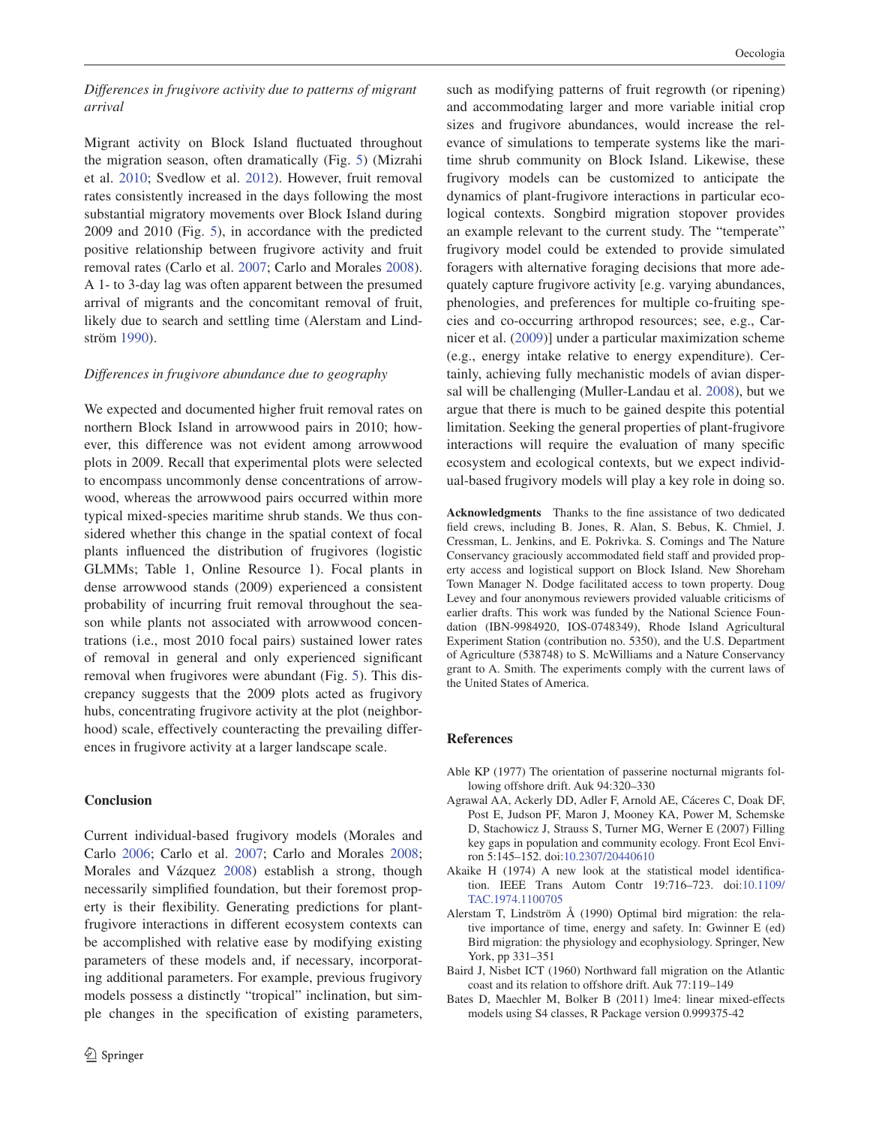*Differences in frugivore activity due to patterns of migrant arrival*

Migrant activity on Block Island fluctuated throughout the migration season, often dramatically (Fig. 5) (Mizrahi et al. 2010; Svedlow et al. 2012). However, fruit removal rates consistently increased in the days following the most substantial migratory movements over Block Island during 2009 and 2010 (Fig. 5), in accordance with the predicted positive relationship between frugivore activity and fruit removal rates (Carlo et al. 2007; Carlo and Morales 2008). A 1- to 3-day lag was often apparent between the presumed arrival of migrants and the concomitant removal of fruit, likely due to search and settling time (Alerstam and Lindström 1990).

#### *Differences in frugivore abundance due to geography*

We expected and documented higher fruit removal rates on northern Block Island in arrowwood pairs in 2010; however, this difference was not evident among arrowwood plots in 2009. Recall that experimental plots were selected to encompass uncommonly dense concentrations of arrowwood, whereas the arrowwood pairs occurred within more typical mixed-species maritime shrub stands. We thus considered whether this change in the spatial context of focal plants influenced the distribution of frugivores (logistic GLMMs; Table 1, Online Resource 1). Focal plants in dense arrowwood stands (2009) experienced a consistent probability of incurring fruit removal throughout the season while plants not associated with arrowwood concentrations (i.e., most 2010 focal pairs) sustained lower rates of removal in general and only experienced significant removal when frugivores were abundant (Fig. 5). This discrepancy suggests that the 2009 plots acted as frugivory hubs, concentrating frugivore activity at the plot (neighborhood) scale, effectively counteracting the prevailing differences in frugivore activity at a larger landscape scale.

## **Conclusion**

Current individual-based frugivory models (Morales and Carlo 2006; Carlo et al. 2007; Carlo and Morales 2008; Morales and Vázquez 2008) establish a strong, though necessarily simplified foundation, but their foremost property is their flexibility. Generating predictions for plantfrugivore interactions in different ecosystem contexts can be accomplished with relative ease by modifying existing parameters of these models and, if necessary, incorporating additional parameters. For example, previous frugivory models possess a distinctly "tropical" inclination, but simple changes in the specification of existing parameters,

such as modifying patterns of fruit regrowth (or ripening) and accommodating larger and more variable initial crop sizes and frugivore abundances, would increase the relevance of simulations to temperate systems like the maritime shrub community on Block Island. Likewise, these frugivory models can be customized to anticipate the dynamics of plant-frugivore interactions in particular ecological contexts. Songbird migration stopover provides an example relevant to the current study. The "temperate" frugivory model could be extended to provide simulated foragers with alternative foraging decisions that more adequately capture frugivore activity [e.g. varying abundances, phenologies, and preferences for multiple co-fruiting species and co-occurring arthropod resources; see, e.g., Carnicer et al. (2009)] under a particular maximization scheme (e.g., energy intake relative to energy expenditure). Certainly, achieving fully mechanistic models of avian dispersal will be challenging (Muller-Landau et al. 2008), but we argue that there is much to be gained despite this potential limitation. Seeking the general properties of plant-frugivore interactions will require the evaluation of many specific ecosystem and ecological contexts, but we expect individual-based frugivory models will play a key role in doing so.

**Acknowledgments** Thanks to the fine assistance of two dedicated field crews, including B. Jones, R. Alan, S. Bebus, K. Chmiel, J. Cressman, L. Jenkins, and E. Pokrivka. S. Comings and The Nature Conservancy graciously accommodated field staff and provided property access and logistical support on Block Island. New Shoreham Town Manager N. Dodge facilitated access to town property. Doug Levey and four anonymous reviewers provided valuable criticisms of earlier drafts. This work was funded by the National Science Foundation (IBN-9984920, IOS-0748349), Rhode Island Agricultural Experiment Station (contribution no. 5350), and the U.S. Department of Agriculture (538748) to S. McWilliams and a Nature Conservancy grant to A. Smith. The experiments comply with the current laws of the United States of America.

#### **References**

- Able KP (1977) The orientation of passerine nocturnal migrants following offshore drift. Auk 94:320–330
- Agrawal AA, Ackerly DD, Adler F, Arnold AE, Cáceres C, Doak DF, Post E, Judson PF, Maron J, Mooney KA, Power M, Schemske D, Stachowicz J, Strauss S, Turner MG, Werner E (2007) Filling key gaps in population and community ecology. Front Ecol Environ 5:145–152. doi:10.2307/20440610
- Akaike H (1974) A new look at the statistical model identification. IEEE Trans Autom Contr 19:716–723. doi:10.1109/ TAC.1974.1100705
- Alerstam T, Lindström Å (1990) Optimal bird migration: the relative importance of time, energy and safety. In: Gwinner E (ed) Bird migration: the physiology and ecophysiology. Springer, New York, pp 331–351
- Baird J, Nisbet ICT (1960) Northward fall migration on the Atlantic coast and its relation to offshore drift. Auk 77:119–149
- Bates D, Maechler M, Bolker B (2011) lme4: linear mixed-effects models using S4 classes, R Package version 0.999375-42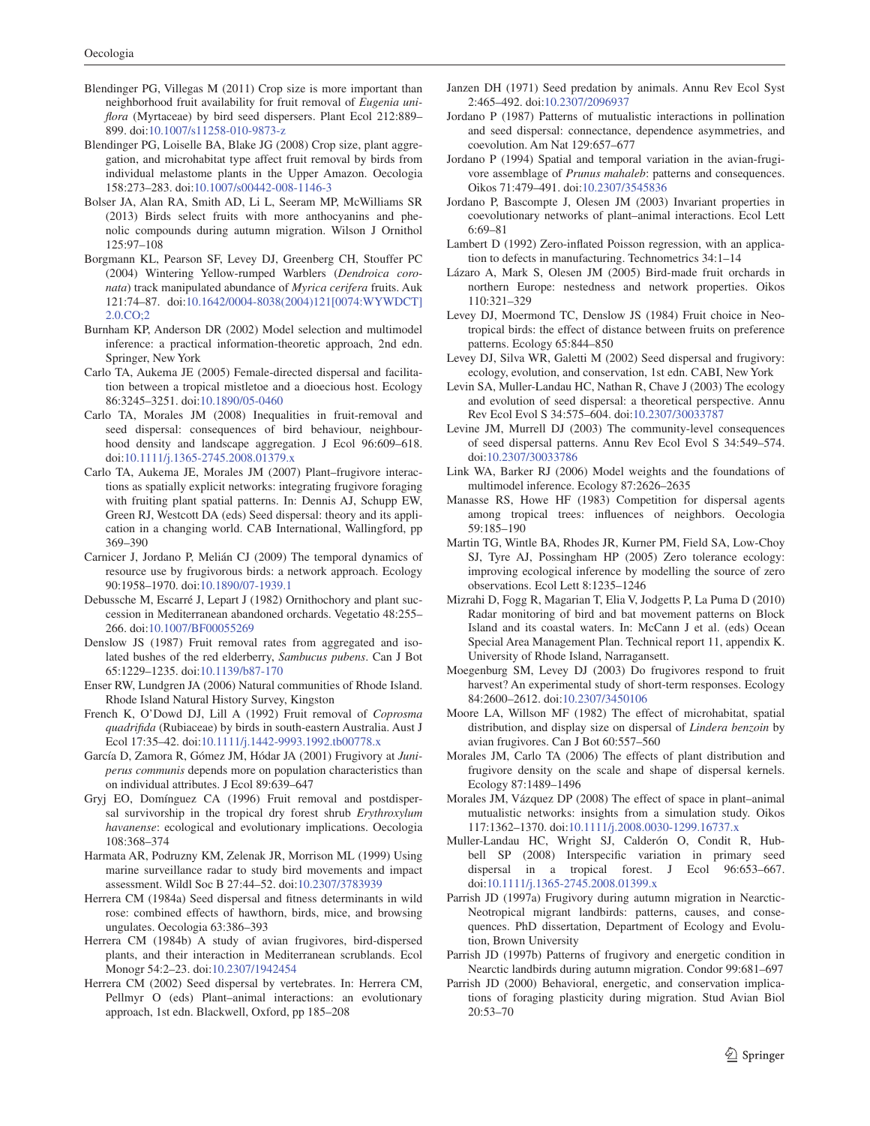- Blendinger PG, Villegas M (2011) Crop size is more important than neighborhood fruit availability for fruit removal of *Eugenia uniflora* (Myrtaceae) by bird seed dispersers. Plant Ecol 212:889– 899. doi:10.1007/s11258-010-9873-z
- Blendinger PG, Loiselle BA, Blake JG (2008) Crop size, plant aggregation, and microhabitat type affect fruit removal by birds from individual melastome plants in the Upper Amazon. Oecologia 158:273–283. doi:10.1007/s00442-008-1146-3
- Bolser JA, Alan RA, Smith AD, Li L, Seeram MP, McWilliams SR (2013) Birds select fruits with more anthocyanins and phenolic compounds during autumn migration. Wilson J Ornithol 125:97–108
- Borgmann KL, Pearson SF, Levey DJ, Greenberg CH, Stouffer PC (2004) Wintering Yellow-rumped Warblers (*Dendroica coronata*) track manipulated abundance of *Myrica cerifera* fruits. Auk 121:74–87. doi:10.1642/0004-8038(2004)121[0074:WYWDCT] 2.0.CO;2
- Burnham KP, Anderson DR (2002) Model selection and multimodel inference: a practical information-theoretic approach, 2nd edn. Springer, New York
- Carlo TA, Aukema JE (2005) Female-directed dispersal and facilitation between a tropical mistletoe and a dioecious host. Ecology 86:3245–3251. doi:10.1890/05-0460
- Carlo TA, Morales JM (2008) Inequalities in fruit-removal and seed dispersal: consequences of bird behaviour, neighbourhood density and landscape aggregation. J Ecol 96:609–618. doi:10.1111/j.1365-2745.2008.01379.x
- Carlo TA, Aukema JE, Morales JM (2007) Plant–frugivore interactions as spatially explicit networks: integrating frugivore foraging with fruiting plant spatial patterns. In: Dennis AJ, Schupp EW, Green RJ, Westcott DA (eds) Seed dispersal: theory and its application in a changing world. CAB International, Wallingford, pp 369–390
- Carnicer J, Jordano P, Melián CJ (2009) The temporal dynamics of resource use by frugivorous birds: a network approach. Ecology 90:1958–1970. doi:10.1890/07-1939.1
- Debussche M, Escarré J, Lepart J (1982) Ornithochory and plant succession in Mediterranean abandoned orchards. Vegetatio 48:255– 266. doi:10.1007/BF00055269
- Denslow JS (1987) Fruit removal rates from aggregated and isolated bushes of the red elderberry, *Sambucus pubens*. Can J Bot 65:1229–1235. doi:10.1139/b87-170
- Enser RW, Lundgren JA (2006) Natural communities of Rhode Island. Rhode Island Natural History Survey, Kingston
- French K, O'Dowd DJ, Lill A (1992) Fruit removal of *Coprosma quadrifida* (Rubiaceae) by birds in south-eastern Australia. Aust J Ecol 17:35–42. doi:10.1111/j.1442-9993.1992.tb00778.x
- García D, Zamora R, Gómez JM, Hódar JA (2001) Frugivory at *Juniperus communis* depends more on population characteristics than on individual attributes. J Ecol 89:639–647
- Gryj EO, Domínguez CA (1996) Fruit removal and postdispersal survivorship in the tropical dry forest shrub *Erythroxylum havanense*: ecological and evolutionary implications. Oecologia 108:368–374
- Harmata AR, Podruzny KM, Zelenak JR, Morrison ML (1999) Using marine surveillance radar to study bird movements and impact assessment. Wildl Soc B 27:44–52. doi:10.2307/3783939
- Herrera CM (1984a) Seed dispersal and fitness determinants in wild rose: combined effects of hawthorn, birds, mice, and browsing ungulates. Oecologia 63:386–393
- Herrera CM (1984b) A study of avian frugivores, bird-dispersed plants, and their interaction in Mediterranean scrublands. Ecol Monogr 54:2–23. doi:10.2307/1942454
- Herrera CM (2002) Seed dispersal by vertebrates. In: Herrera CM, Pellmyr O (eds) Plant–animal interactions: an evolutionary approach, 1st edn. Blackwell, Oxford, pp 185–208
- Janzen DH (1971) Seed predation by animals. Annu Rev Ecol Syst 2:465–492. doi:10.2307/2096937
- Jordano P (1987) Patterns of mutualistic interactions in pollination and seed dispersal: connectance, dependence asymmetries, and coevolution. Am Nat 129:657–677
- Jordano P (1994) Spatial and temporal variation in the avian-frugivore assemblage of *Prunus mahaleb*: patterns and consequences. Oikos 71:479–491. doi:10.2307/3545836
- Jordano P, Bascompte J, Olesen JM (2003) Invariant properties in coevolutionary networks of plant–animal interactions. Ecol Lett 6:69–81
- Lambert D (1992) Zero-inflated Poisson regression, with an application to defects in manufacturing. Technometrics 34:1–14
- Lázaro A, Mark S, Olesen JM (2005) Bird-made fruit orchards in northern Europe: nestedness and network properties. Oikos 110:321–329
- Levey DJ, Moermond TC, Denslow JS (1984) Fruit choice in Neotropical birds: the effect of distance between fruits on preference patterns. Ecology 65:844–850
- Levey DJ, Silva WR, Galetti M (2002) Seed dispersal and frugivory: ecology, evolution, and conservation, 1st edn. CABI, New York
- Levin SA, Muller-Landau HC, Nathan R, Chave J (2003) The ecology and evolution of seed dispersal: a theoretical perspective. Annu Rev Ecol Evol S 34:575–604. doi:10.2307/30033787
- Levine JM, Murrell DJ (2003) The community-level consequences of seed dispersal patterns. Annu Rev Ecol Evol S 34:549–574. doi:10.2307/30033786
- Link WA, Barker RJ (2006) Model weights and the foundations of multimodel inference. Ecology 87:2626–2635
- Manasse RS, Howe HF (1983) Competition for dispersal agents among tropical trees: influences of neighbors. Oecologia 59:185–190
- Martin TG, Wintle BA, Rhodes JR, Kurner PM, Field SA, Low-Choy SJ, Tyre AJ, Possingham HP (2005) Zero tolerance ecology: improving ecological inference by modelling the source of zero observations. Ecol Lett 8:1235–1246
- Mizrahi D, Fogg R, Magarian T, Elia V, Jodgetts P, La Puma D (2010) Radar monitoring of bird and bat movement patterns on Block Island and its coastal waters. In: McCann J et al. (eds) Ocean Special Area Management Plan. Technical report 11, appendix K. University of Rhode Island, Narragansett.
- Moegenburg SM, Levey DJ (2003) Do frugivores respond to fruit harvest? An experimental study of short-term responses. Ecology 84:2600–2612. doi:10.2307/3450106
- Moore LA, Willson MF (1982) The effect of microhabitat, spatial distribution, and display size on dispersal of *Lindera benzoin* by avian frugivores. Can J Bot 60:557–560
- Morales JM, Carlo TA (2006) The effects of plant distribution and frugivore density on the scale and shape of dispersal kernels. Ecology 87:1489–1496
- Morales JM, Vázquez DP (2008) The effect of space in plant–animal mutualistic networks: insights from a simulation study. Oikos 117:1362–1370. doi:10.1111/j.2008.0030-1299.16737.x
- Muller-Landau HC, Wright SJ, Calderón O, Condit R, Hubbell SP (2008) Interspecific variation in primary seed dispersal in a tropical forest. J Ecol 96:653–667. doi:10.1111/j.1365-2745.2008.01399.x
- Parrish JD (1997a) Frugivory during autumn migration in Nearctic-Neotropical migrant landbirds: patterns, causes, and consequences. PhD dissertation, Department of Ecology and Evolution, Brown University
- Parrish JD (1997b) Patterns of frugivory and energetic condition in Nearctic landbirds during autumn migration. Condor 99:681–697
- Parrish JD (2000) Behavioral, energetic, and conservation implications of foraging plasticity during migration. Stud Avian Biol 20:53–70